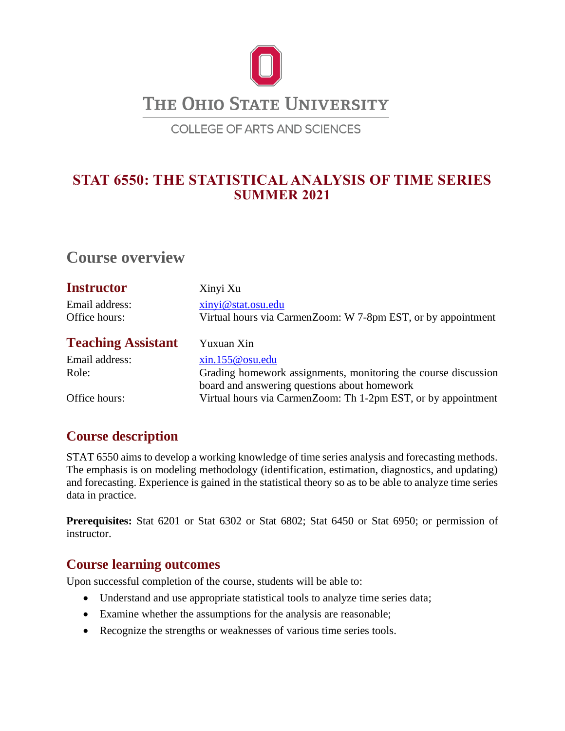

COLLEGE OF ARTS AND SCIENCES

## **STAT 6550: THE STATISTICAL ANALYSIS OF TIME SERIES SUMMER 2021**

## **Course overview**

| <b>Instructor</b>         | Xinyi Xu                                                       |
|---------------------------|----------------------------------------------------------------|
| Email address:            | xinyi@stat.osu.edu                                             |
| Office hours:             | Virtual hours via CarmenZoom: W 7-8pm EST, or by appointment   |
| <b>Teaching Assistant</b> | Yuxuan Xin                                                     |
| Email address:            | xin.155@osu.edu                                                |
| Role:                     | Grading homework assignments, monitoring the course discussion |
|                           | board and answering questions about homework                   |
| Office hours:             | Virtual hours via CarmenZoom: Th 1-2pm EST, or by appointment  |

## **Course description**

STAT 6550 aims to develop a working knowledge of time series analysis and forecasting methods. The emphasis is on modeling methodology (identification, estimation, diagnostics, and updating) and forecasting. Experience is gained in the statistical theory so as to be able to analyze time series data in practice.

**Prerequisites:** Stat 6201 or Stat 6302 or Stat 6802; Stat 6450 or Stat 6950; or permission of instructor.

## **Course learning outcomes**

Upon successful completion of the course, students will be able to:

- Understand and use appropriate statistical tools to analyze time series data;
- Examine whether the assumptions for the analysis are reasonable;
- Recognize the strengths or weaknesses of various time series tools.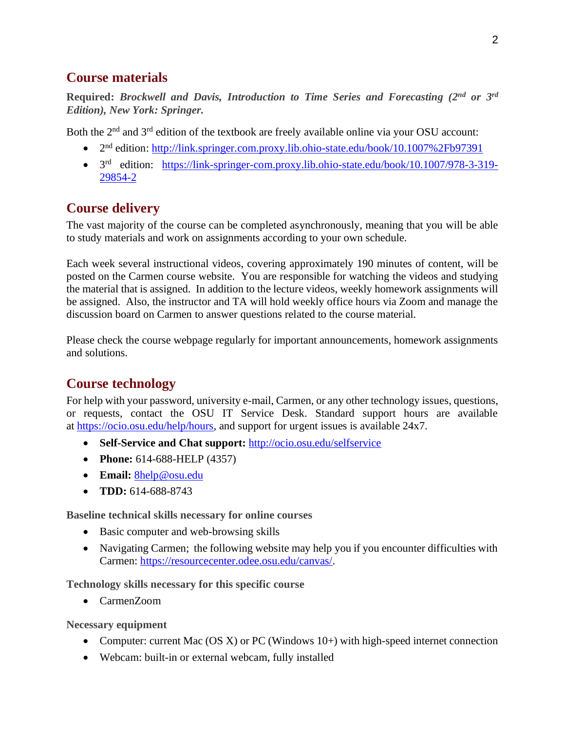## **Course materials**

Required: *Brockwell and Davis, Introduction to Time Series and Forecasting (2<sup>nd</sup> or 3<sup>rd</sup>) Edition), New York: Springer.*

Both the 2<sup>nd</sup> and 3<sup>rd</sup> edition of the textbook are freely available online via your OSU account:

- 2<sup>nd</sup> edition:<http://link.springer.com.proxy.lib.ohio-state.edu/book/10.1007%2Fb97391>
- 3<sup>rd</sup> edition: [https://link-springer-com.proxy.lib.ohio-state.edu/book/10.1007/978-3-319-](https://link-springer-com.proxy.lib.ohio-state.edu/book/10.1007/978-3-319-29854-2) [29854-2](https://link-springer-com.proxy.lib.ohio-state.edu/book/10.1007/978-3-319-29854-2)

## **Course delivery**

The vast majority of the course can be completed asynchronously, meaning that you will be able to study materials and work on assignments according to your own schedule.

Each week several instructional videos, covering approximately 190 minutes of content, will be posted on the Carmen course website. You are responsible for watching the videos and studying the material that is assigned. In addition to the lecture videos, weekly homework assignments will be assigned. Also, the instructor and TA will hold weekly office hours via Zoom and manage the discussion board on Carmen to answer questions related to the course material.

Please check the course webpage regularly for important announcements, homework assignments and solutions.

## **Course technology**

For help with your password, university e-mail, Carmen, or any other technology issues, questions, or requests, contact the OSU IT Service Desk. Standard support hours are available at [https://ocio.osu.edu/help/hours,](https://ocio.osu.edu/help/hours) and support for urgent issues is available 24x7.

- **Self-Service and Chat support:** <http://ocio.osu.edu/selfservice>
- **Phone:** 614-688-HELP (4357)
- **Email:** [8help@osu.edu](mailto:8help@osu.edu)
- **TDD:** 614-688-8743

**Baseline technical skills necessary for online courses**

- Basic computer and web-browsing skills
- Navigating Carmen; the following website may help you if you encounter difficulties with Carmen: [https://resourcecenter.odee.osu.edu/canvas/.](https://resourcecenter.odee.osu.edu/canvas/)

**Technology skills necessary for this specific course**

• CarmenZoom

**Necessary equipment**

- Computer: current Mac (OS X) or PC (Windows  $10+$ ) with high-speed internet connection
- Webcam: built-in or external webcam, fully installed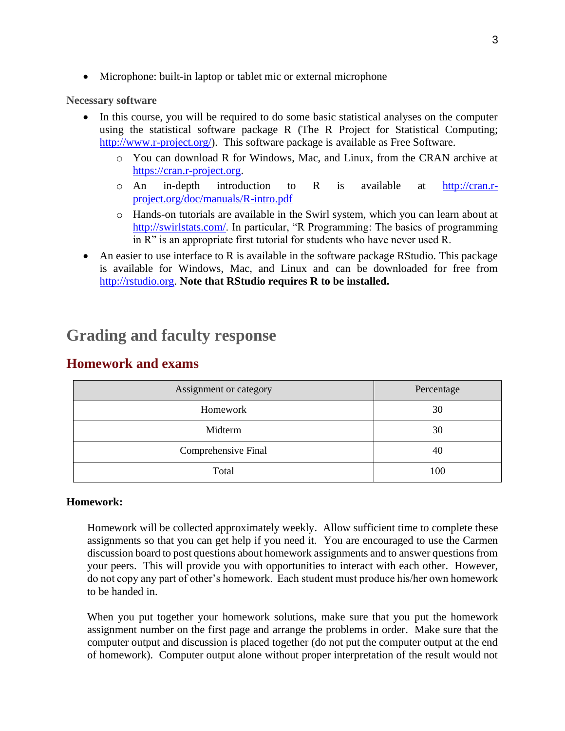• Microphone: built-in laptop or tablet mic or external microphone

#### **Necessary software**

- In this course, you will be required to do some basic statistical analyses on the computer using the statistical software package R (The R Project for Statistical Computing; [http://www.r-project.org/\)](http://www.r-project.org/). This software package is available as Free Software.
	- o You can download R for Windows, Mac, and Linux, from the CRAN archive at [https://cran.r-project.org.](https://cran.r-project.org/)
	- $\circ$  An in-depth introduction to R is available at  $\frac{http://cran.r-1">http://cran.r-1}$ [project.org/doc/manuals/R-intro.pdf](http://cran.r-project.org/doc/manuals/R-intro.pdf)
	- o Hands-on tutorials are available in the Swirl system, which you can learn about at [http://swirlstats.com/.](http://swirlstats.com/) In particular, "R Programming: The basics of programming in R" is an appropriate first tutorial for students who have never used R.
- An easier to use interface to R is available in the software package RStudio. This package is available for Windows, Mac, and Linux and can be downloaded for free from [http://rstudio.org.](http://rstudio.org/) **Note that RStudio requires R to be installed.**

## **Grading and faculty response**

# Assignment or category **Percentage** Homework 30 Midterm 30 Comprehensive Final 40 Total 100

## **Homework and exams**

#### **Homework:**

Homework will be collected approximately weekly. Allow sufficient time to complete these assignments so that you can get help if you need it. You are encouraged to use the Carmen discussion board to post questions about homework assignments and to answer questions from your peers. This will provide you with opportunities to interact with each other. However, do not copy any part of other's homework. Each student must produce his/her own homework to be handed in.

When you put together your homework solutions, make sure that you put the homework assignment number on the first page and arrange the problems in order. Make sure that the computer output and discussion is placed together (do not put the computer output at the end of homework). Computer output alone without proper interpretation of the result would not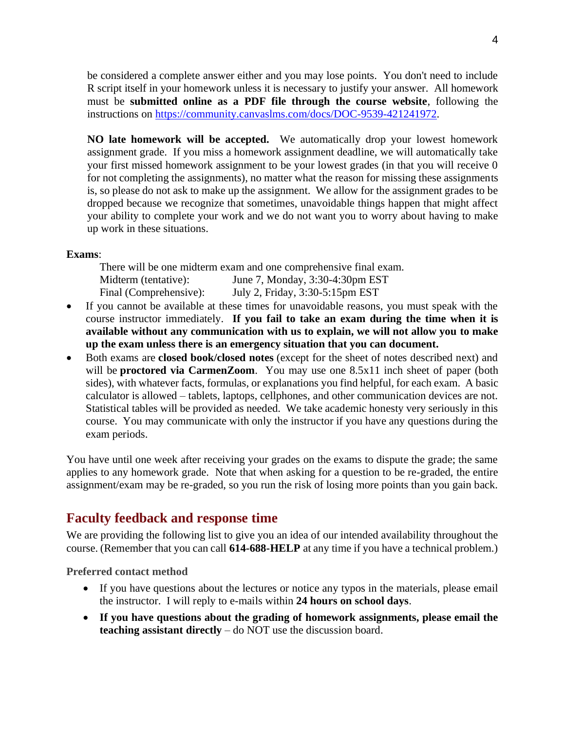be considered a complete answer either and you may lose points. You don't need to include R script itself in your homework unless it is necessary to justify your answer. All homework must be **submitted online as a PDF file through the course website**, following the instructions on [https://community.canvaslms.com/docs/DOC-9539-421241972.](https://community.canvaslms.com/docs/DOC-9539-421241972)

**NO late homework will be accepted.** We automatically drop your lowest homework assignment grade. If you miss a homework assignment deadline, we will automatically take your first missed homework assignment to be your lowest grades (in that you will receive 0 for not completing the assignments), no matter what the reason for missing these assignments is, so please do not ask to make up the assignment. We allow for the assignment grades to be dropped because we recognize that sometimes, unavoidable things happen that might affect your ability to complete your work and we do not want you to worry about having to make up work in these situations.

#### **Exams**:

There will be one midterm exam and one comprehensive final exam. Midterm (tentative): June 7, Monday, 3:30-4:30pm EST Final (Comprehensive): July 2, Friday, 3:30-5:15pm EST

- If you cannot be available at these times for unavoidable reasons, you must speak with the course instructor immediately. **If you fail to take an exam during the time when it is available without any communication with us to explain, we will not allow you to make up the exam unless there is an emergency situation that you can document.**
- Both exams are **closed book/closed notes** (except for the sheet of notes described next) and will be **proctored via CarmenZoom**. You may use one 8.5x11 inch sheet of paper (both sides), with whatever facts, formulas, or explanations you find helpful, for each exam. A basic calculator is allowed – tablets, laptops, cellphones, and other communication devices are not. Statistical tables will be provided as needed. We take academic honesty very seriously in this course. You may communicate with only the instructor if you have any questions during the exam periods.

You have until one week after receiving your grades on the exams to dispute the grade; the same applies to any homework grade. Note that when asking for a question to be re-graded, the entire assignment/exam may be re-graded, so you run the risk of losing more points than you gain back.

## **Faculty feedback and response time**

We are providing the following list to give you an idea of our intended availability throughout the course. (Remember that you can call **614-688-HELP** at any time if you have a technical problem.)

**Preferred contact method**

- If you have questions about the lectures or notice any typos in the materials, please email the instructor. I will reply to e-mails within **24 hours on school days**.
- **If you have questions about the grading of homework assignments, please email the teaching assistant directly** – do NOT use the discussion board.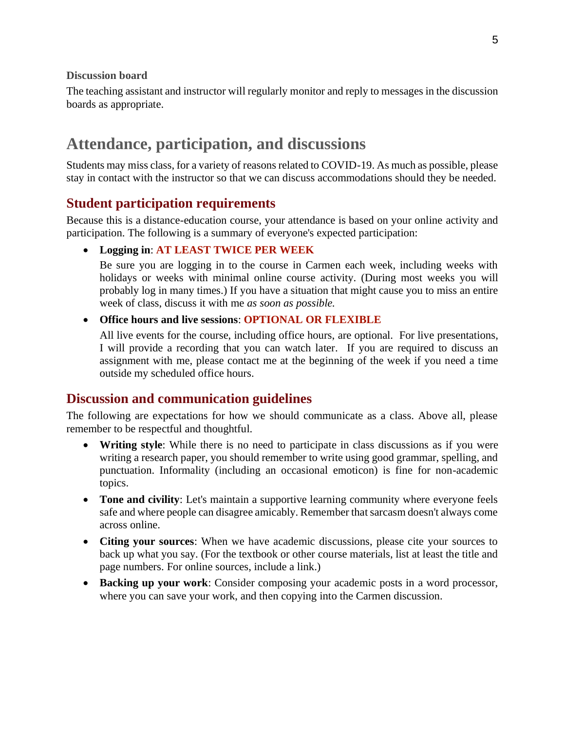**Discussion board**

The teaching assistant and instructor will regularly monitor and reply to messages in the discussion boards as appropriate.

## **Attendance, participation, and discussions**

Students may miss class, for a variety of reasons related to COVID-19. As much as possible, please stay in contact with the instructor so that we can discuss accommodations should they be needed.

### **Student participation requirements**

Because this is a distance-education course, your attendance is based on your online activity and participation. The following is a summary of everyone's expected participation:

#### • **Logging in**: **AT LEAST TWICE PER WEEK**

Be sure you are logging in to the course in Carmen each week, including weeks with holidays or weeks with minimal online course activity. (During most weeks you will probably log in many times.) If you have a situation that might cause you to miss an entire week of class, discuss it with me *as soon as possible.*

#### • **Office hours and live sessions**: **OPTIONAL OR FLEXIBLE**

All live events for the course, including office hours, are optional. For live presentations, I will provide a recording that you can watch later. If you are required to discuss an assignment with me, please contact me at the beginning of the week if you need a time outside my scheduled office hours.

### **Discussion and communication guidelines**

The following are expectations for how we should communicate as a class. Above all, please remember to be respectful and thoughtful.

- **Writing style**: While there is no need to participate in class discussions as if you were writing a research paper, you should remember to write using good grammar, spelling, and punctuation. Informality (including an occasional emoticon) is fine for non-academic topics.
- **Tone and civility**: Let's maintain a supportive learning community where everyone feels safe and where people can disagree amicably. Remember that sarcasm doesn't always come across online.
- **Citing your sources**: When we have academic discussions, please cite your sources to back up what you say. (For the textbook or other course materials, list at least the title and page numbers. For online sources, include a link.)
- **Backing up your work**: Consider composing your academic posts in a word processor, where you can save your work, and then copying into the Carmen discussion.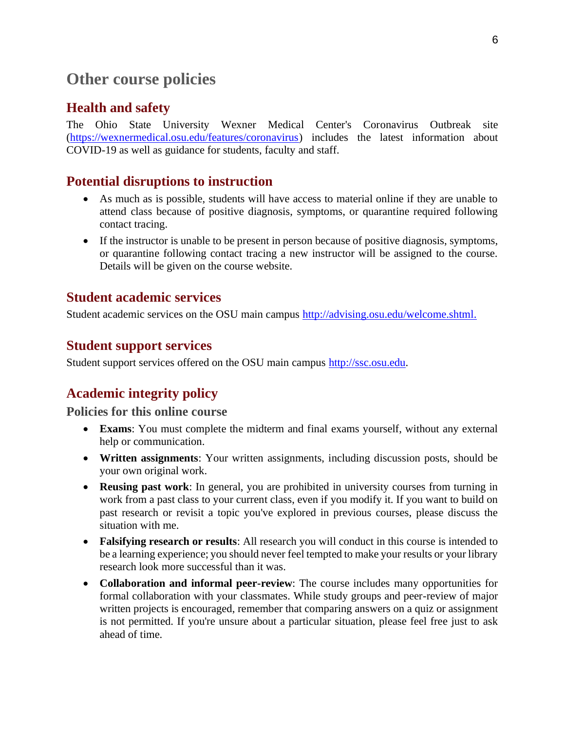## **Other course policies**

### **Health and safety**

The Ohio State University Wexner Medical Center's Coronavirus Outbreak site [\(https://wexnermedical.osu.edu/features/coronavirus\)](https://wexnermedical.osu.edu/features/coronavirus) includes the latest information about COVID-19 as well as guidance for students, faculty and staff.

## **Potential disruptions to instruction**

- As much as is possible, students will have access to material online if they are unable to attend class because of positive diagnosis, symptoms, or quarantine required following contact tracing.
- If the instructor is unable to be present in person because of positive diagnosis, symptoms, or quarantine following contact tracing a new instructor will be assigned to the course. Details will be given on the course website.

### **Student academic services**

Student academic services on the OSU main campus [http://advising.osu.edu/welcome.shtml.](http://advising.osu.edu/welcome.shtml)

#### **Student support services**

Student support services offered on the OSU main campus [http://ssc.osu.edu.](http://ssc.osu.edu/)

## **Academic integrity policy**

**Policies for this online course**

- **Exams**: You must complete the midterm and final exams yourself, without any external help or communication.
- **Written assignments**: Your written assignments, including discussion posts, should be your own original work.
- **Reusing past work**: In general, you are prohibited in university courses from turning in work from a past class to your current class, even if you modify it. If you want to build on past research or revisit a topic you've explored in previous courses, please discuss the situation with me.
- **Falsifying research or results**: All research you will conduct in this course is intended to be a learning experience; you should never feel tempted to make your results or your library research look more successful than it was.
- **Collaboration and informal peer-review**: The course includes many opportunities for formal collaboration with your classmates. While study groups and peer-review of major written projects is encouraged, remember that comparing answers on a quiz or assignment is not permitted. If you're unsure about a particular situation, please feel free just to ask ahead of time.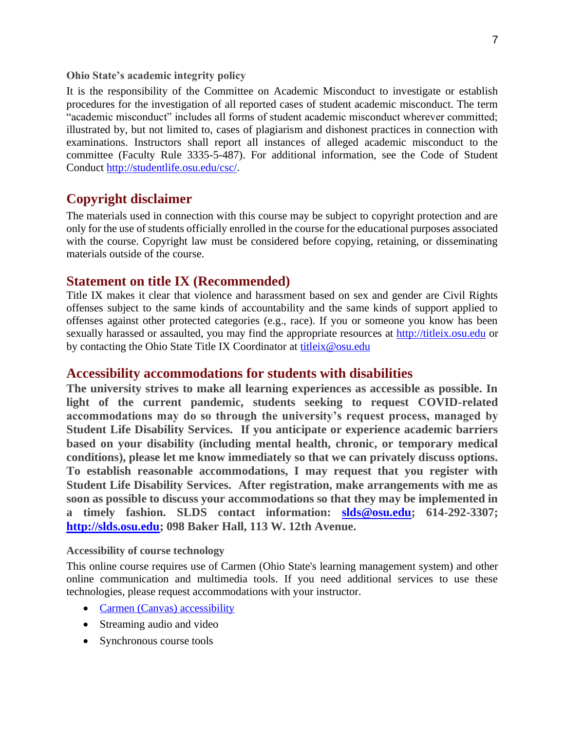#### **Ohio State's academic integrity policy**

It is the responsibility of the Committee on Academic Misconduct to investigate or establish procedures for the investigation of all reported cases of student academic misconduct. The term "academic misconduct" includes all forms of student academic misconduct wherever committed; illustrated by, but not limited to, cases of plagiarism and dishonest practices in connection with examinations. Instructors shall report all instances of alleged academic misconduct to the committee (Faculty Rule 3335-5-487). For additional information, see the Code of Student Conduct [http://studentlife.osu.edu/csc/.](http://studentlife.osu.edu/csc/)

### **Copyright disclaimer**

The materials used in connection with this course may be subject to copyright protection and are only for the use of students officially enrolled in the course for the educational purposes associated with the course. Copyright law must be considered before copying, retaining, or disseminating materials outside of the course.

#### **Statement on title IX (Recommended)**

Title IX makes it clear that violence and harassment based on sex and gender are Civil Rights offenses subject to the same kinds of accountability and the same kinds of support applied to offenses against other protected categories (e.g., race). If you or someone you know has been sexually harassed or assaulted, you may find the appropriate resources at [http://titleix.osu.edu](http://titleix.osu.edu/) or by contacting the Ohio State Title IX Coordinator at [titleix@osu.edu](mailto:titleix@osu.edu)

#### **Accessibility accommodations for students with disabilities**

**The university strives to make all learning experiences as accessible as possible. In light of the current pandemic, students seeking to request COVID-related accommodations may do so through the university's request process, managed by Student Life Disability Services. If you anticipate or experience academic barriers based on your disability (including mental health, chronic, or temporary medical conditions), please let me know immediately so that we can privately discuss options. To establish reasonable accommodations, I may request that you register with Student Life Disability Services. After registration, make arrangements with me as soon as possible to discuss your accommodations so that they may be implemented in a timely fashion. SLDS contact information: [slds@osu.edu;](mailto:slds@osu.edu) 614-292-3307; [http://slds.osu.edu;](http://slds.osu.edu/) 098 Baker Hall, 113 W. 12th Avenue.**

**Accessibility of course technology**

This online course requires use of Carmen (Ohio State's learning management system) and other online communication and multimedia tools. If you need additional services to use these technologies, please request accommodations with your instructor.

- [Carmen \(Canvas\) accessibility](https://community.canvaslms.com/docs/DOC-2061)
- Streaming audio and video
- Synchronous course tools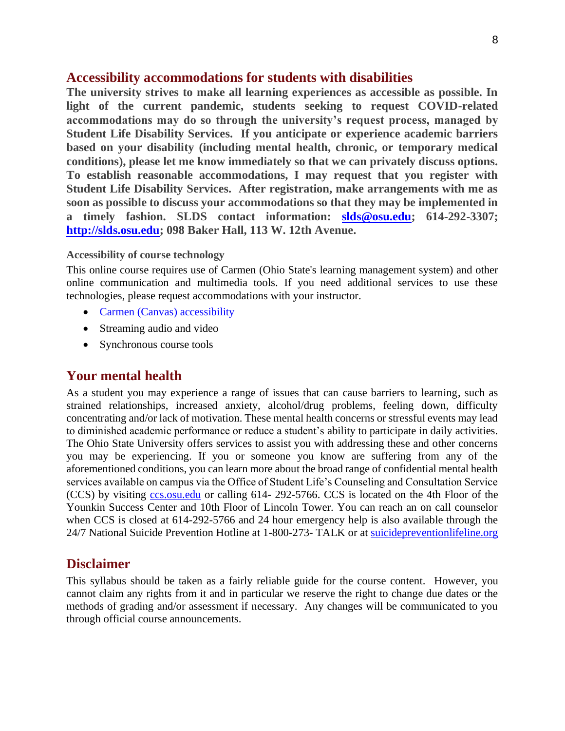### **Accessibility accommodations for students with disabilities**

**The university strives to make all learning experiences as accessible as possible. In light of the current pandemic, students seeking to request COVID-related accommodations may do so through the university's request process, managed by Student Life Disability Services. If you anticipate or experience academic barriers based on your disability (including mental health, chronic, or temporary medical conditions), please let me know immediately so that we can privately discuss options. To establish reasonable accommodations, I may request that you register with Student Life Disability Services. After registration, make arrangements with me as soon as possible to discuss your accommodations so that they may be implemented in a timely fashion. SLDS contact information: [slds@osu.edu;](mailto:slds@osu.edu) 614-292-3307; [http://slds.osu.edu;](http://slds.osu.edu/) 098 Baker Hall, 113 W. 12th Avenue.**

#### **Accessibility of course technology**

This online course requires use of Carmen (Ohio State's learning management system) and other online communication and multimedia tools. If you need additional services to use these technologies, please request accommodations with your instructor.

- [Carmen \(Canvas\) accessibility](https://community.canvaslms.com/docs/DOC-2061)
- Streaming audio and video
- Synchronous course tools

#### **Your mental health**

As a student you may experience a range of issues that can cause barriers to learning, such as strained relationships, increased anxiety, alcohol/drug problems, feeling down, difficulty concentrating and/or lack of motivation. These mental health concerns or stressful events may lead to diminished academic performance or reduce a student's ability to participate in daily activities. The Ohio State University offers services to assist you with addressing these and other concerns you may be experiencing. If you or someone you know are suffering from any of the aforementioned conditions, you can learn more about the broad range of confidential mental health services available on campus via the Office of Student Life's Counseling and Consultation Service (CCS) by visiting [ccs.osu.edu](http://ccs.osu.edu/) or calling 614- 292-5766. CCS is located on the 4th Floor of the Younkin Success Center and 10th Floor of Lincoln Tower. You can reach an on call counselor when CCS is closed at 614-292-5766 and 24 hour emergency help is also available through the 24/7 National Suicide Prevention Hotline at 1-800-273- TALK or at [suicidepreventionlifeline.org](http://suicidepreventionlifeline.org/)

#### **Disclaimer**

This syllabus should be taken as a fairly reliable guide for the course content. However, you cannot claim any rights from it and in particular we reserve the right to change due dates or the methods of grading and/or assessment if necessary. Any changes will be communicated to you through official course announcements.